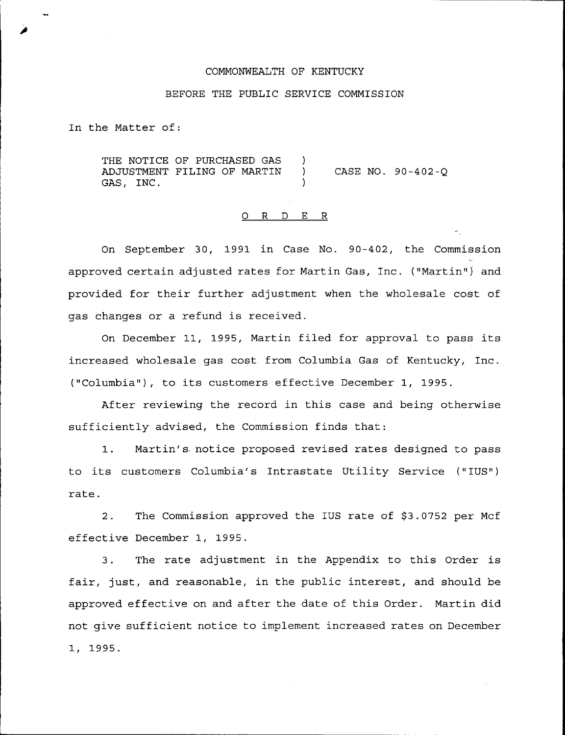# COMMONWEALTH OF KENTUCKY

### BEFORE THE PUBLIC SERVICE COMMISSION

In the Matter of:

THE NOTICE OF PURCHASED GAS )<br>ADJUSTMENT FILING OF MARTIN ) ADJUSTMENT FILING OF MARTIN ) GAS, INC. CASE NO. 90-402-Q

# 0 R <sup>D</sup> E R

On September 30, 1991 in Case No. 90-402, the Commission approved certain adjusted rates for Martin Gas, Inc. ("Martin") and provided for their further adjustment when the wholesale cost of gas changes or a refund is received.

On December 11, 1995, Martin filed for approval to pass its increased wholesale gas cost from Columbia Gas of Kentucky, Inc. ("Columbia" ), to its customers effective December 1, 1995.

After reviewing the record in this case and being otherwise sufficiently advised, the Commission finds that:

1. Martin's notice proposed revised rates designed to pass to its customers Columbia's Intrastate Utility Service ("IUS") rate.

2. The Commission approved the IUS rate of \$3.0752 per Mcf effective December 1, 1995.

3. The rate adjustment in the Appendix to this Order is fair, just, and reasonable, in the public interest, and should be approved effective on and after the date of this Order. Martin did not give sufficient notice to implement increased rates on December 1, 1995.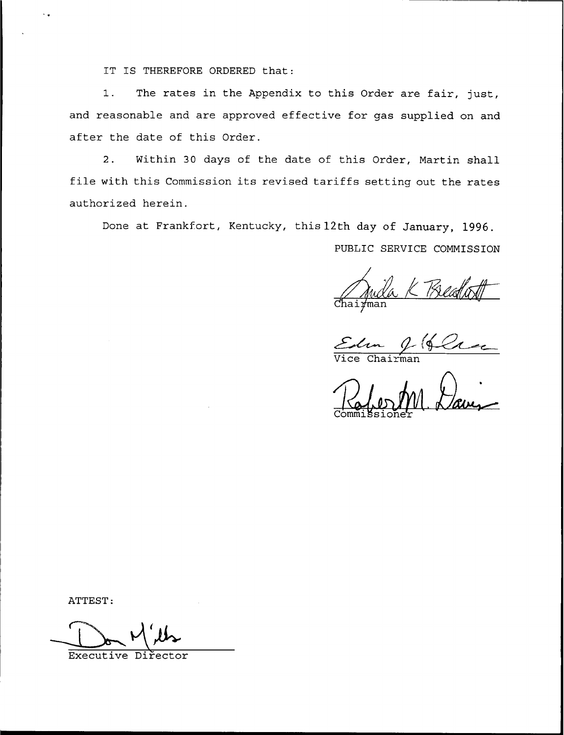IT IS THEREFORE ORDERED that:

 $1.$ The rates in the Appendix to this Order are fair, just, and reasonable and are approved effective for gas supplied on and after the date of this Order.

Within 30 days of the date of this Order, Martin shall  $2.$ file with this Commission its revised tariffs setting out the rates authorized herein.

Done at Frankfort, Kentucky, this 12th day of January, 1996.

PUBLIC SERVICE COMMISSION

Chairman

Edm & Que

aug

ATTEST:

Executive